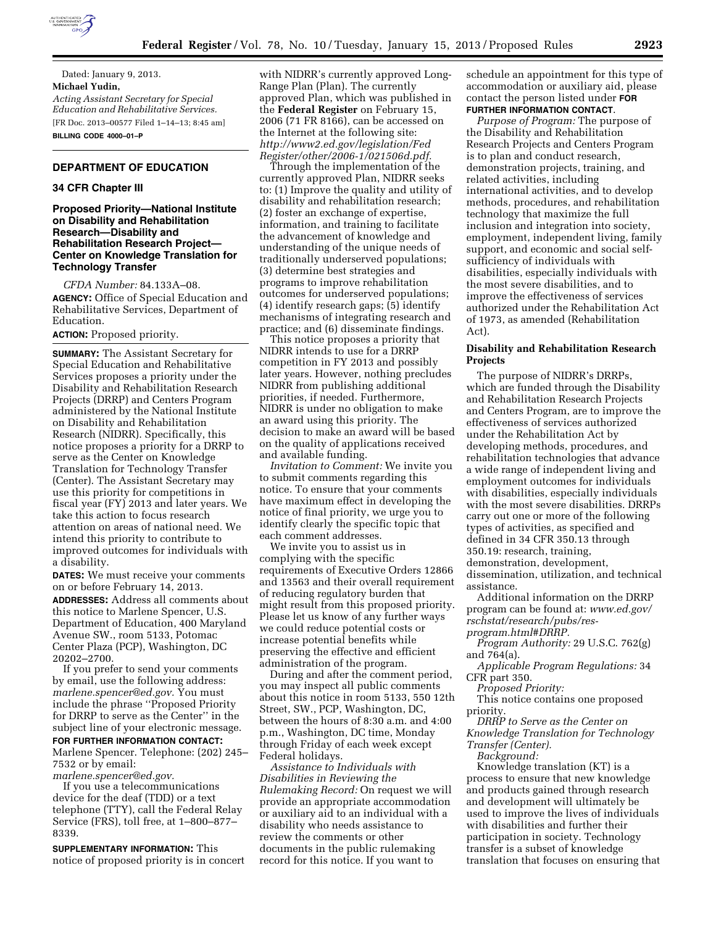

Dated: January 9, 2013. **Michael Yudin,**  *Acting Assistant Secretary for Special Education and Rehabilitative Services.*  [FR Doc. 2013–00577 Filed 1–14–13; 8:45 am] **BILLING CODE 4000–01–P** 

## **DEPARTMENT OF EDUCATION**

#### **34 CFR Chapter III**

### **Proposed Priority—National Institute on Disability and Rehabilitation Research—Disability and Rehabilitation Research Project— Center on Knowledge Translation for Technology Transfer**

*CFDA Number:* 84.133A–08. **AGENCY:** Office of Special Education and Rehabilitative Services, Department of Education.

# **ACTION:** Proposed priority.

**SUMMARY:** The Assistant Secretary for Special Education and Rehabilitative Services proposes a priority under the Disability and Rehabilitation Research Projects (DRRP) and Centers Program administered by the National Institute on Disability and Rehabilitation Research (NIDRR). Specifically, this notice proposes a priority for a DRRP to serve as the Center on Knowledge Translation for Technology Transfer (Center). The Assistant Secretary may use this priority for competitions in fiscal year (FY) 2013 and later years. We take this action to focus research attention on areas of national need. We intend this priority to contribute to improved outcomes for individuals with a disability.

**DATES:** We must receive your comments on or before February 14, 2013.

**ADDRESSES:** Address all comments about this notice to Marlene Spencer, U.S. Department of Education, 400 Maryland Avenue SW., room 5133, Potomac Center Plaza (PCP), Washington, DC 20202–2700.

If you prefer to send your comments by email, use the following address: *[marlene.spencer@ed.gov.](mailto:marlene.spencer@ed.gov)* You must include the phrase ''Proposed Priority for DRRP to serve as the Center'' in the subject line of your electronic message.

## **FOR FURTHER INFORMATION CONTACT:**

Marlene Spencer. Telephone: (202) 245– 7532 or by email:

*[marlene.spencer@ed.gov.](mailto:marlene.spencer@ed.gov)* 

If you use a telecommunications device for the deaf (TDD) or a text telephone (TTY), call the Federal Relay Service (FRS), toll free, at 1–800–877– 8339.

**SUPPLEMENTARY INFORMATION:** This notice of proposed priority is in concert with NIDRR's currently approved Long-Range Plan (Plan). The currently approved Plan, which was published in the **Federal Register** on February 15, 2006 (71 FR 8166), can be accessed on the Internet at the following site: *[http://www2.ed.gov/legislation/Fed](http://www2.ed.gov/legislation/FedRegister/other/2006-1/021506d.pdf) [Register/other/2006-1/021506d.pdf.](http://www2.ed.gov/legislation/FedRegister/other/2006-1/021506d.pdf)* 

Through the implementation of the currently approved Plan, NIDRR seeks to: (1) Improve the quality and utility of disability and rehabilitation research; (2) foster an exchange of expertise, information, and training to facilitate the advancement of knowledge and understanding of the unique needs of traditionally underserved populations; (3) determine best strategies and programs to improve rehabilitation outcomes for underserved populations; (4) identify research gaps; (5) identify mechanisms of integrating research and practice; and (6) disseminate findings.

This notice proposes a priority that NIDRR intends to use for a DRRP competition in FY 2013 and possibly later years. However, nothing precludes NIDRR from publishing additional priorities, if needed. Furthermore, NIDRR is under no obligation to make an award using this priority. The decision to make an award will be based on the quality of applications received and available funding.

*Invitation to Comment:* We invite you to submit comments regarding this notice. To ensure that your comments have maximum effect in developing the notice of final priority, we urge you to identify clearly the specific topic that each comment addresses.

We invite you to assist us in complying with the specific requirements of Executive Orders 12866 and 13563 and their overall requirement of reducing regulatory burden that might result from this proposed priority. Please let us know of any further ways we could reduce potential costs or increase potential benefits while preserving the effective and efficient administration of the program.

During and after the comment period, you may inspect all public comments about this notice in room 5133, 550 12th Street, SW., PCP, Washington, DC, between the hours of 8:30 a.m. and 4:00 p.m., Washington, DC time, Monday through Friday of each week except Federal holidays.

*Assistance to Individuals with Disabilities in Reviewing the Rulemaking Record:* On request we will provide an appropriate accommodation or auxiliary aid to an individual with a disability who needs assistance to review the comments or other documents in the public rulemaking record for this notice. If you want to

schedule an appointment for this type of accommodation or auxiliary aid, please contact the person listed under **FOR FURTHER INFORMATION CONTACT**.

*Purpose of Program:* The purpose of the Disability and Rehabilitation Research Projects and Centers Program is to plan and conduct research, demonstration projects, training, and related activities, including international activities, and to develop methods, procedures, and rehabilitation technology that maximize the full inclusion and integration into society, employment, independent living, family support, and economic and social selfsufficiency of individuals with disabilities, especially individuals with the most severe disabilities, and to improve the effectiveness of services authorized under the Rehabilitation Act of 1973, as amended (Rehabilitation Act).

#### **Disability and Rehabilitation Research Projects**

The purpose of NIDRR's DRRPs, which are funded through the Disability and Rehabilitation Research Projects and Centers Program, are to improve the effectiveness of services authorized under the Rehabilitation Act by developing methods, procedures, and rehabilitation technologies that advance a wide range of independent living and employment outcomes for individuals with disabilities, especially individuals with the most severe disabilities. DRRPs carry out one or more of the following types of activities, as specified and defined in 34 CFR 350.13 through 350.19: research, training, demonstration, development,

dissemination, utilization, and technical assistance.

Additional information on the DRRP program can be found at: *[www.ed.gov/](http://www.ed.gov/rschstat/research/pubs/res-program.html#DRRP) [rschstat/research/pubs/res](http://www.ed.gov/rschstat/research/pubs/res-program.html#DRRP)[program.html#DRRP.](http://www.ed.gov/rschstat/research/pubs/res-program.html#DRRP)* 

*Program Authority:* 29 U.S.C. 762(g) and 764(a).

*Applicable Program Regulations:* 34 CFR part 350.

*Proposed Priority:* 

This notice contains one proposed priority.

*DRRP to Serve as the Center on Knowledge Translation for Technology Transfer (Center).* 

*Background:* 

Knowledge translation (KT) is a process to ensure that new knowledge and products gained through research and development will ultimately be used to improve the lives of individuals with disabilities and further their participation in society. Technology transfer is a subset of knowledge translation that focuses on ensuring that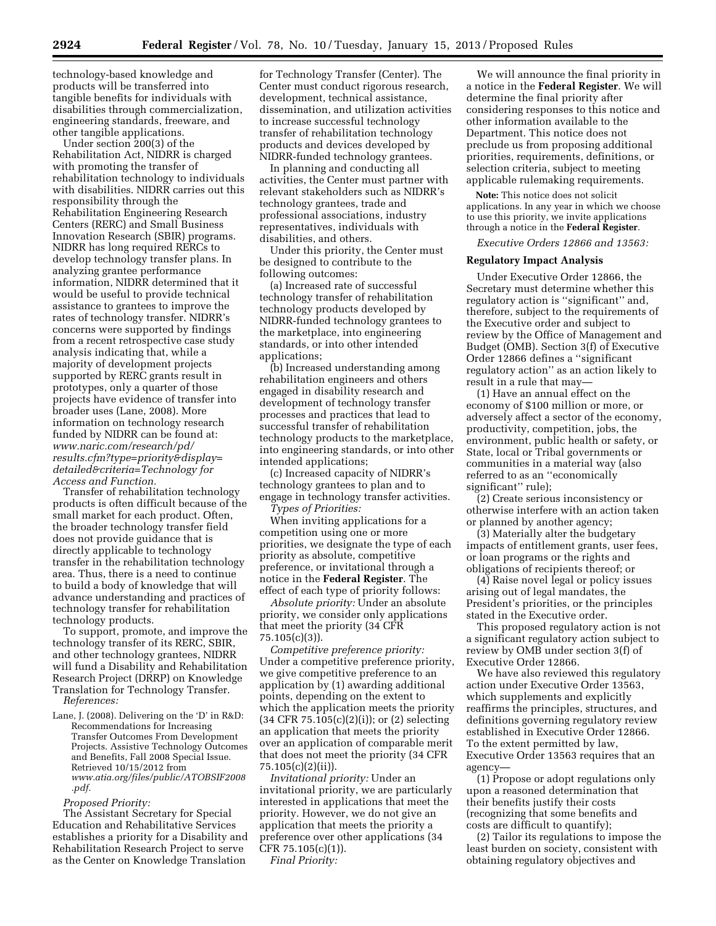technology-based knowledge and products will be transferred into tangible benefits for individuals with disabilities through commercialization, engineering standards, freeware, and other tangible applications.

Under section 200(3) of the Rehabilitation Act, NIDRR is charged with promoting the transfer of rehabilitation technology to individuals with disabilities. NIDRR carries out this responsibility through the Rehabilitation Engineering Research Centers (RERC) and Small Business Innovation Research (SBIR) programs. NIDRR has long required RERCs to develop technology transfer plans. In analyzing grantee performance information, NIDRR determined that it would be useful to provide technical assistance to grantees to improve the rates of technology transfer. NIDRR's concerns were supported by findings from a recent retrospective case study analysis indicating that, while a majority of development projects supported by RERC grants result in prototypes, only a quarter of those projects have evidence of transfer into broader uses (Lane, 2008). More information on technology research funded by NIDRR can be found at: *[www.naric.com/research/pd/](www.naric.com/research/pd/results.cfm?type=priority&display=detailed&criteria=Technology)  [results.cfm?type=priority&display=](www.naric.com/research/pd/results.cfm?type=priority&display=detailed&criteria=Technology) [detailed&criteria=Technology](www.naric.com/research/pd/results.cfm?type=priority&display=detailed&criteria=Technology) for Access and Function.* 

Transfer of rehabilitation technology products is often difficult because of the small market for each product. Often, the broader technology transfer field does not provide guidance that is directly applicable to technology transfer in the rehabilitation technology area. Thus, there is a need to continue to build a body of knowledge that will advance understanding and practices of technology transfer for rehabilitation technology products.

To support, promote, and improve the technology transfer of its RERC, SBIR, and other technology grantees, NIDRR will fund a Disability and Rehabilitation Research Project (DRRP) on Knowledge Translation for Technology Transfer. *References:* 

Lane, J. (2008). Delivering on the 'D' in R&D: Recommendations for Increasing Transfer Outcomes From Development Projects. Assistive Technology Outcomes and Benefits, Fall 2008 Special Issue. Retrieved 10/15/2012 from *[www.atia.org/files/public/ATOBSIF2008](http://www.atia.org/files/public/ATOBSIF2008.pdf) [.pdf.](http://www.atia.org/files/public/ATOBSIF2008.pdf)* 

### *Proposed Priority:*

The Assistant Secretary for Special Education and Rehabilitative Services establishes a priority for a Disability and Rehabilitation Research Project to serve as the Center on Knowledge Translation

for Technology Transfer (Center). The Center must conduct rigorous research, development, technical assistance, dissemination, and utilization activities to increase successful technology transfer of rehabilitation technology products and devices developed by NIDRR-funded technology grantees.

In planning and conducting all activities, the Center must partner with relevant stakeholders such as NIDRR's technology grantees, trade and professional associations, industry representatives, individuals with disabilities, and others.

Under this priority, the Center must be designed to contribute to the following outcomes:

(a) Increased rate of successful technology transfer of rehabilitation technology products developed by NIDRR-funded technology grantees to the marketplace, into engineering standards, or into other intended applications;

(b) Increased understanding among rehabilitation engineers and others engaged in disability research and development of technology transfer processes and practices that lead to successful transfer of rehabilitation technology products to the marketplace, into engineering standards, or into other intended applications;

(c) Increased capacity of NIDRR's technology grantees to plan and to engage in technology transfer activities.

*Types of Priorities:* 

When inviting applications for a competition using one or more priorities, we designate the type of each priority as absolute, competitive preference, or invitational through a notice in the **Federal Register**. The effect of each type of priority follows:

*Absolute priority:* Under an absolute priority, we consider only applications that meet the priority (34 CFR 75.105(c)(3)).

*Competitive preference priority:*  Under a competitive preference priority, we give competitive preference to an application by (1) awarding additional points, depending on the extent to which the application meets the priority (34 CFR 75.105(c)(2)(i)); or (2) selecting an application that meets the priority over an application of comparable merit that does not meet the priority (34 CFR 75.105(c)(2)(ii)).

*Invitational priority:* Under an invitational priority, we are particularly interested in applications that meet the priority. However, we do not give an application that meets the priority a preference over other applications (34 CFR 75.105(c)(1)).

*Final Priority:* 

We will announce the final priority in a notice in the **Federal Register**. We will determine the final priority after considering responses to this notice and other information available to the Department. This notice does not preclude us from proposing additional priorities, requirements, definitions, or selection criteria, subject to meeting applicable rulemaking requirements.

**Note:** This notice does not solicit applications. In any year in which we choose to use this priority, we invite applications through a notice in the **Federal Register**.

*Executive Orders 12866 and 13563:* 

#### **Regulatory Impact Analysis**

Under Executive Order 12866, the Secretary must determine whether this regulatory action is ''significant'' and, therefore, subject to the requirements of the Executive order and subject to review by the Office of Management and Budget (OMB). Section 3(f) of Executive Order 12866 defines a ''significant regulatory action'' as an action likely to result in a rule that may—

(1) Have an annual effect on the economy of \$100 million or more, or adversely affect a sector of the economy, productivity, competition, jobs, the environment, public health or safety, or State, local or Tribal governments or communities in a material way (also referred to as an ''economically significant'' rule);

(2) Create serious inconsistency or otherwise interfere with an action taken or planned by another agency;

(3) Materially alter the budgetary impacts of entitlement grants, user fees, or loan programs or the rights and obligations of recipients thereof; or

(4) Raise novel legal or policy issues arising out of legal mandates, the President's priorities, or the principles stated in the Executive order.

This proposed regulatory action is not a significant regulatory action subject to review by OMB under section 3(f) of Executive Order 12866.

We have also reviewed this regulatory action under Executive Order 13563, which supplements and explicitly reaffirms the principles, structures, and definitions governing regulatory review established in Executive Order 12866. To the extent permitted by law, Executive Order 13563 requires that an agency—

(1) Propose or adopt regulations only upon a reasoned determination that their benefits justify their costs (recognizing that some benefits and costs are difficult to quantify);

(2) Tailor its regulations to impose the least burden on society, consistent with obtaining regulatory objectives and